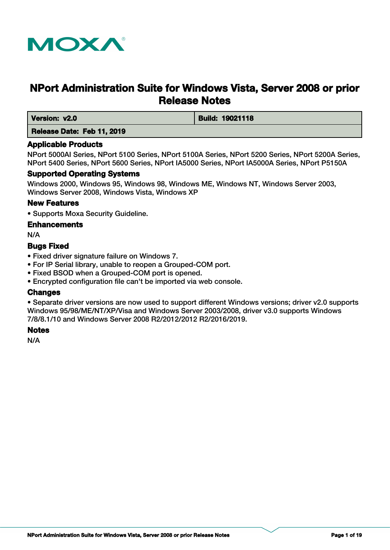

# **NPort Administration Suite for Windows Vista, Server 2008 or prior Release Notes**

 **Version: v2.0 Build: 19021118** 

 **Release Date: Feb 11, 2019**

## **Applicable Products**

NPort 5000AI Series, NPort 5100 Series, NPort 5100A Series, NPort 5200 Series, NPort 5200A Series, NPort 5400 Series, NPort 5600 Series, NPort IA5000 Series, NPort IA5000A Series, NPort P5150A

## **Supported Operating Systems**

Windows 2000, Windows 95, Windows 98, Windows ME, Windows NT, Windows Server 2003, Windows Server 2008, Windows Vista, Windows XP

## **New Features**

• Supports Moxa Security Guideline.

## **Enhancements**

N/A

## **Bugs Fixed**

- Fixed driver signature failure on Windows 7.
- For IP Serial library, unable to reopen a Grouped-COM port.
- Fixed BSOD when a Grouped-COM port is opened.
- Encrypted configuration file can't be imported via web console.

## **Changes**

• Separate driver versions are now used to support different Windows versions; driver v2.0 supports Windows 95/98/ME/NT/XP/Visa and Windows Server 2003/2008, driver v3.0 supports Windows 7/8/8.1/10 and Windows Server 2008 R2/2012/2012 R2/2016/2019.

## **Notes**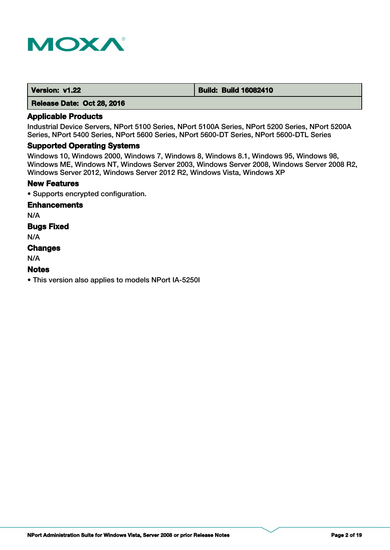

 **Version: v1.22 <b>Build: Build: Build 16082410** 

 **Release Date: Oct 28, 2016**

## **Applicable Products**

Industrial Device Servers, NPort 5100 Series, NPort 5100A Series, NPort 5200 Series, NPort 5200A Series, NPort 5400 Series, NPort 5600 Series, NPort 5600-DT Series, NPort 5600-DTL Series

#### **Supported Operating Systems**

Windows 10, Windows 2000, Windows 7, Windows 8, Windows 8.1, Windows 95, Windows 98, Windows ME, Windows NT, Windows Server 2003, Windows Server 2008, Windows Server 2008 R2, Windows Server 2012, Windows Server 2012 R2, Windows Vista, Windows XP

## **New Features**

• Supports encrypted configuration.

## **Enhancements**

N/A

**Bugs Fixed**

N/A

#### **Changes**

N/A

#### **Notes**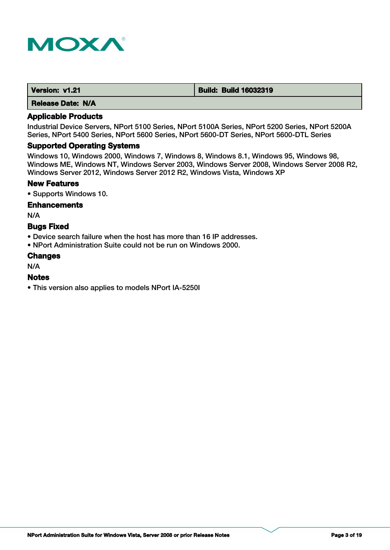

| Version: v1.21           | <b>Build: Build 16032319</b> |
|--------------------------|------------------------------|
| <b>Release Date: N/A</b> |                              |

Industrial Device Servers, NPort 5100 Series, NPort 5100A Series, NPort 5200 Series, NPort 5200A Series, NPort 5400 Series, NPort 5600 Series, NPort 5600-DT Series, NPort 5600-DTL Series

#### **Supported Operating Systems**

Windows 10, Windows 2000, Windows 7, Windows 8, Windows 8.1, Windows 95, Windows 98, Windows ME, Windows NT, Windows Server 2003, Windows Server 2008, Windows Server 2008 R2, Windows Server 2012, Windows Server 2012 R2, Windows Vista, Windows XP

## **New Features**

• Supports Windows 10.

#### **Enhancements**

N/A

## **Bugs Fixed**

- Device search failure when the host has more than 16 IP addresses.
- NPort Administration Suite could not be run on Windows 2000.

#### **Changes**

N/A

#### **Notes**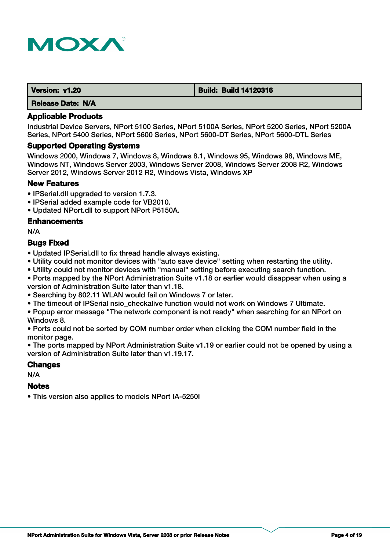

| Version: v1.20           | <b>Build: Build 14120316</b> |
|--------------------------|------------------------------|
| <b>Release Date: N/A</b> |                              |

Industrial Device Servers, NPort 5100 Series, NPort 5100A Series, NPort 5200 Series, NPort 5200A Series, NPort 5400 Series, NPort 5600 Series, NPort 5600-DT Series, NPort 5600-DTL Series

#### **Supported Operating Systems**

Windows 2000, Windows 7, Windows 8, Windows 8.1, Windows 95, Windows 98, Windows ME, Windows NT, Windows Server 2003, Windows Server 2008, Windows Server 2008 R2, Windows Server 2012, Windows Server 2012 R2, Windows Vista, Windows XP

#### **New Features**

- IPSerial.dll upgraded to version 1.7.3.
- IPSerial added example code for VB2010.
- Updated NPort.dll to support NPort P5150A.

#### **Enhancements**

N/A

#### **Bugs Fixed**

- Updated IPSerial.dll to fix thread handle always existing.
- Utility could not monitor devices with "auto save device" setting when restarting the utility.
- Utility could not monitor devices with "manual" setting before executing search function.
- Ports mapped by the NPort Administration Suite v1.18 or earlier would disappear when using a version of Administration Suite later than v1.18.
- Searching by 802.11 WLAN would fail on Windows 7 or later.
- The timeout of IPSerial nsio checkalive function would not work on Windows 7 Ultimate.
- Popup error message "The network component is not ready" when searching for an NPort on Windows 8.
- Ports could not be sorted by COM number order when clicking the COM number field in the monitor page.

• The ports mapped by NPort Administration Suite v1.19 or earlier could not be opened by using a version of Administration Suite later than v1.19.17.

#### **Changes**

N/A

## **Notes**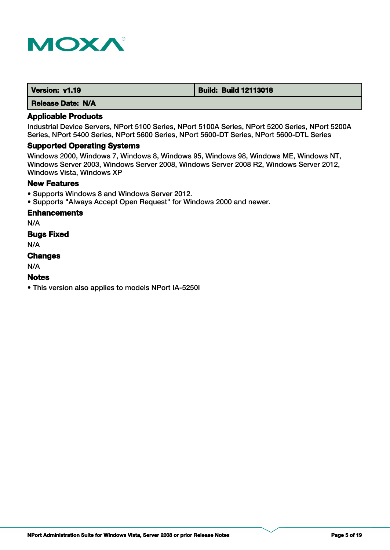

| Version: v1.19 | <b>Build: Build 12113018</b> |
|----------------|------------------------------|
|                |                              |

## **Applicable Products**

Industrial Device Servers, NPort 5100 Series, NPort 5100A Series, NPort 5200 Series, NPort 5200A Series, NPort 5400 Series, NPort 5600 Series, NPort 5600-DT Series, NPort 5600-DTL Series

#### **Supported Operating Systems**

Windows 2000, Windows 7, Windows 8, Windows 95, Windows 98, Windows ME, Windows NT, Windows Server 2003, Windows Server 2008, Windows Server 2008 R2, Windows Server 2012, Windows Vista, Windows XP

## **New Features**

- Supports Windows 8 and Windows Server 2012.
- Supports "Always Accept Open Request" for Windows 2000 and newer.

## **Enhancements**

N/A

## **Bugs Fixed**

N/A

## **Changes**

N/A

## **Notes**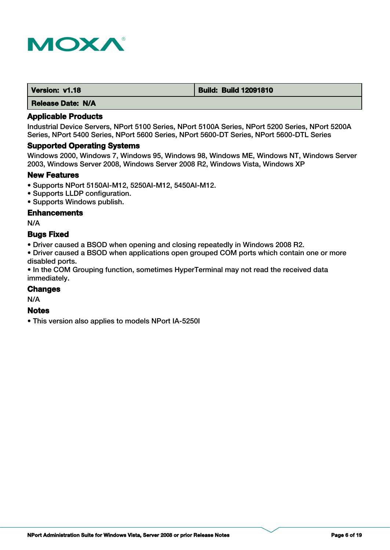

| Version: v1.18 | <b>Build: Build 12091810</b> |
|----------------|------------------------------|
| ----           |                              |

## **Applicable Products**

Industrial Device Servers, NPort 5100 Series, NPort 5100A Series, NPort 5200 Series, NPort 5200A Series, NPort 5400 Series, NPort 5600 Series, NPort 5600-DT Series, NPort 5600-DTL Series

#### **Supported Operating Systems**

Windows 2000, Windows 7, Windows 95, Windows 98, Windows ME, Windows NT, Windows Server 2003, Windows Server 2008, Windows Server 2008 R2, Windows Vista, Windows XP

#### **New Features**

- Supports NPort 5150AI-M12, 5250AI-M12, 5450AI-M12.
- Supports LLDP configuration.
- Supports Windows publish.

## **Enhancements**

N/A

## **Bugs Fixed**

• Driver caused a BSOD when opening and closing repeatedly in Windows 2008 R2.

• Driver caused a BSOD when applications open grouped COM ports which contain one or more disabled ports.

• In the COM Grouping function, sometimes HyperTerminal may not read the received data immediately.

## **Changes**

N/A

#### **Notes**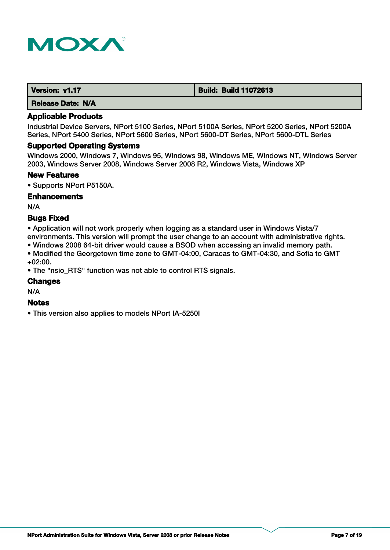

| Version: v1.17           | <b>Build: Build 11072613</b> |
|--------------------------|------------------------------|
| <b>Release Date: N/A</b> |                              |

Industrial Device Servers, NPort 5100 Series, NPort 5100A Series, NPort 5200 Series, NPort 5200A Series, NPort 5400 Series, NPort 5600 Series, NPort 5600-DT Series, NPort 5600-DTL Series

#### **Supported Operating Systems**

Windows 2000, Windows 7, Windows 95, Windows 98, Windows ME, Windows NT, Windows Server 2003, Windows Server 2008, Windows Server 2008 R2, Windows Vista, Windows XP

#### **New Features**

• Supports NPort P5150A.

#### **Enhancements**

N/A

#### **Bugs Fixed**

• Application will not work properly when logging as a standard user in Windows Vista/7 environments. This version will prompt the user change to an account with administrative rights.

- Windows 2008 64-bit driver would cause a BSOD when accessing an invalid memory path.
- Modified the Georgetown time zone to GMT-04:00, Caracas to GMT-04:30, and Sofia to GMT +02:00.

• The "nsio\_RTS" function was not able to control RTS signals.

## **Changes**

N/A

## **Notes**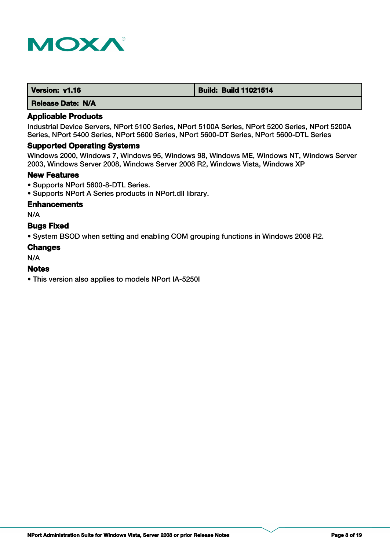

| Version: v1.16 | <b>Build: Build 11021514</b> |
|----------------|------------------------------|
|                |                              |

## **Applicable Products**

Industrial Device Servers, NPort 5100 Series, NPort 5100A Series, NPort 5200 Series, NPort 5200A Series, NPort 5400 Series, NPort 5600 Series, NPort 5600-DT Series, NPort 5600-DTL Series

#### **Supported Operating Systems**

Windows 2000, Windows 7, Windows 95, Windows 98, Windows ME, Windows NT, Windows Server 2003, Windows Server 2008, Windows Server 2008 R2, Windows Vista, Windows XP

#### **New Features**

- Supports NPort 5600-8-DTL Series.
- Supports NPort A Series products in NPort.dll library.

## **Enhancements**

N/A

## **Bugs Fixed**

• System BSOD when setting and enabling COM grouping functions in Windows 2008 R2.

#### **Changes**

N/A

## **Notes**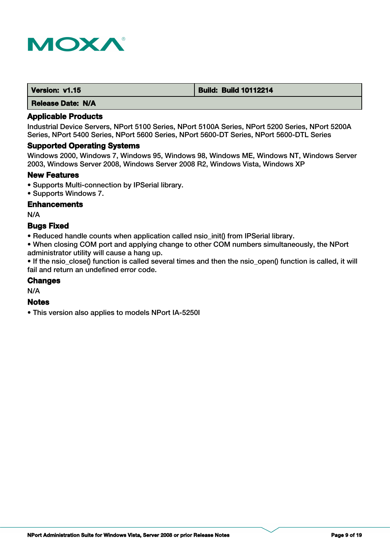

| Version: v1.15           | <b>Build: Build 10112214</b> |
|--------------------------|------------------------------|
| <b>Release Date: N/A</b> |                              |

Industrial Device Servers, NPort 5100 Series, NPort 5100A Series, NPort 5200 Series, NPort 5200A Series, NPort 5400 Series, NPort 5600 Series, NPort 5600-DT Series, NPort 5600-DTL Series

#### **Supported Operating Systems**

Windows 2000, Windows 7, Windows 95, Windows 98, Windows ME, Windows NT, Windows Server 2003, Windows Server 2008, Windows Server 2008 R2, Windows Vista, Windows XP

#### **New Features**

- Supports Multi-connection by IPSerial library.
- Supports Windows 7.

## **Enhancements**

N/A

#### **Bugs Fixed**

• Reduced handle counts when application called nsio init() from IPSerial library.

• When closing COM port and applying change to other COM numbers simultaneously, the NPort administrator utility will cause a hang up.

• If the nsio\_close() function is called several times and then the nsio\_open() function is called, it will fail and return an undefined error code.

#### **Changes**

N/A

#### **Notes**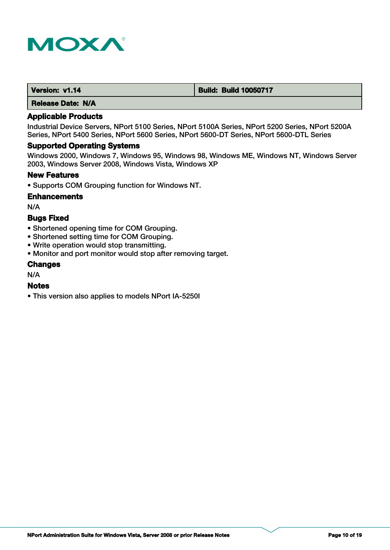

| Version: v1.14 | <b>Build: Build 10050717</b> |
|----------------|------------------------------|
|----------------|------------------------------|

## **Applicable Products**

Industrial Device Servers, NPort 5100 Series, NPort 5100A Series, NPort 5200 Series, NPort 5200A Series, NPort 5400 Series, NPort 5600 Series, NPort 5600-DT Series, NPort 5600-DTL Series

#### **Supported Operating Systems**

Windows 2000, Windows 7, Windows 95, Windows 98, Windows ME, Windows NT, Windows Server 2003, Windows Server 2008, Windows Vista, Windows XP

#### **New Features**

• Supports COM Grouping function for Windows NT.

#### **Enhancements**

N/A

## **Bugs Fixed**

- Shortened opening time for COM Grouping.
- Shortened setting time for COM Grouping.
- Write operation would stop transmitting.
- Monitor and port monitor would stop after removing target.

#### **Changes**

N/A

#### **Notes**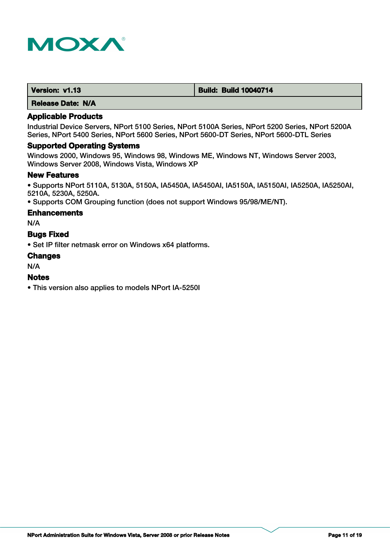

| Version: v1.13 | <b>Build: Build 10040714</b> |
|----------------|------------------------------|
|                |                              |

#### **Applicable Products**

Industrial Device Servers, NPort 5100 Series, NPort 5100A Series, NPort 5200 Series, NPort 5200A Series, NPort 5400 Series, NPort 5600 Series, NPort 5600-DT Series, NPort 5600-DTL Series

#### **Supported Operating Systems**

Windows 2000, Windows 95, Windows 98, Windows ME, Windows NT, Windows Server 2003, Windows Server 2008, Windows Vista, Windows XP

#### **New Features**

• Supports NPort 5110A, 5130A, 5150A, IA5450A, IA5450AI, IA5150A, IA5150AI, IA5250A, IA5250AI, 5210A, 5230A, 5250A.

• Supports COM Grouping function (does not support Windows 95/98/ME/NT).

#### **Enhancements**

N/A

## **Bugs Fixed**

• Set IP filter netmask error on Windows x64 platforms.

#### **Changes**

N/A

## **Notes**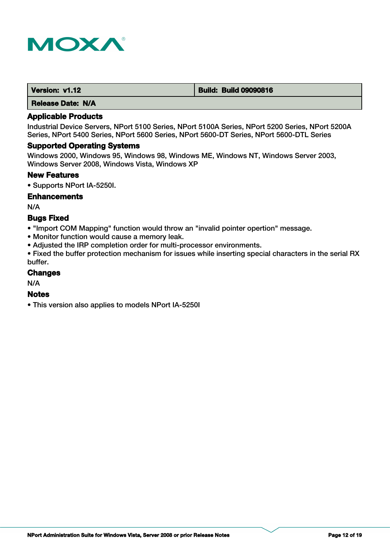

| Version: v1.12 | <b>Build: Build 09090816</b> |
|----------------|------------------------------|
| .<br>----      |                              |

## **Applicable Products**

Industrial Device Servers, NPort 5100 Series, NPort 5100A Series, NPort 5200 Series, NPort 5200A Series, NPort 5400 Series, NPort 5600 Series, NPort 5600-DT Series, NPort 5600-DTL Series

#### **Supported Operating Systems**

Windows 2000, Windows 95, Windows 98, Windows ME, Windows NT, Windows Server 2003, Windows Server 2008, Windows Vista, Windows XP

#### **New Features**

• Supports NPort IA-5250I.

#### **Enhancements**

N/A

## **Bugs Fixed**

• "Import COM Mapping" function would throw an "invalid pointer opertion" message.

- Monitor function would cause a memory leak.
- Adjusted the IRP completion order for multi-processor environments.

• Fixed the buffer protection mechanism for issues while inserting special characters in the serial RX buffer.

#### **Changes**

N/A

## **Notes**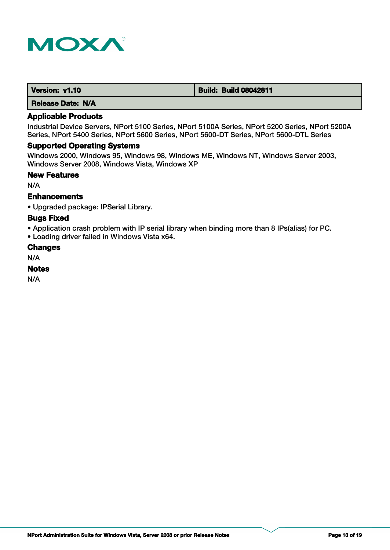

| Version: v1.10           | <b>Build: Build 08042811</b> |
|--------------------------|------------------------------|
| <b>Release Date: N/A</b> |                              |

Industrial Device Servers, NPort 5100 Series, NPort 5100A Series, NPort 5200 Series, NPort 5200A Series, NPort 5400 Series, NPort 5600 Series, NPort 5600-DT Series, NPort 5600-DTL Series

## **Supported Operating Systems**

Windows 2000, Windows 95, Windows 98, Windows ME, Windows NT, Windows Server 2003, Windows Server 2008, Windows Vista, Windows XP

#### **New Features**

N/A

## **Enhancements**

• Upgraded package: IPSerial Library.

#### **Bugs Fixed**

• Application crash problem with IP serial library when binding more than 8 IPs(alias) for PC.

• Loading driver failed in Windows Vista x64.

#### **Changes**

N/A

## **Notes**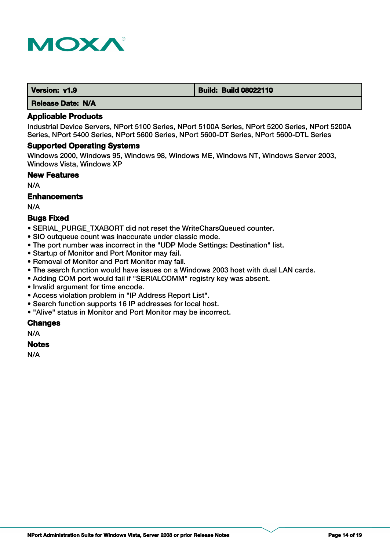

| Version: v1.9 | <b>Build: Build 08022110</b> |
|---------------|------------------------------|
| .             |                              |

#### **Applicable Products**

Industrial Device Servers, NPort 5100 Series, NPort 5100A Series, NPort 5200 Series, NPort 5200A Series, NPort 5400 Series, NPort 5600 Series, NPort 5600-DT Series, NPort 5600-DTL Series

#### **Supported Operating Systems**

Windows 2000, Windows 95, Windows 98, Windows ME, Windows NT, Windows Server 2003, Windows Vista, Windows XP

#### **New Features**

N/A

## **Enhancements**

N/A

## **Bugs Fixed**

- SERIAL\_PURGE\_TXABORT did not reset the WriteCharsQueued counter.
- SIO outqueue count was inaccurate under classic mode.
- The port number was incorrect in the "UDP Mode Settings: Destination" list.
- Startup of Monitor and Port Monitor may fail.
- Removal of Monitor and Port Monitor may fail.
- The search function would have issues on a Windows 2003 host with dual LAN cards.
- Adding COM port would fail if "SERIALCOMM" registry key was absent.
- Invalid argument for time encode.
- Access violation problem in "IP Address Report List".
- Search function supports 16 IP addresses for local host.
- "Alive" status in Monitor and Port Monitor may be incorrect.

## **Changes**

N/A

#### **Notes**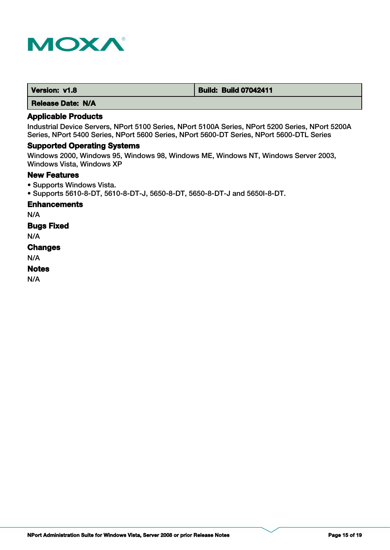

| Version: v1.8 | <b>Build: Build 07042411</b> |
|---------------|------------------------------|
|---------------|------------------------------|

## **Applicable Products**

Industrial Device Servers, NPort 5100 Series, NPort 5100A Series, NPort 5200 Series, NPort 5200A Series, NPort 5400 Series, NPort 5600 Series, NPort 5600-DT Series, NPort 5600-DTL Series

## **Supported Operating Systems**

Windows 2000, Windows 95, Windows 98, Windows ME, Windows NT, Windows Server 2003, Windows Vista, Windows XP

#### **New Features**

• Supports Windows Vista.

• Supports 5610-8-DT, 5610-8-DT-J, 5650-8-DT, 5650-8-DT-J and 5650I-8-DT.

## **Enhancements**

N/A

## **Bugs Fixed**

N/A

#### **Changes**

N/A

## **Notes**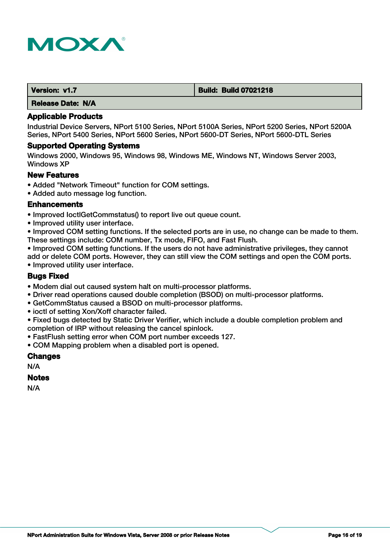

| Version: v1.7 | <b>Build: Build 07021218</b> |
|---------------|------------------------------|
|               |                              |

#### **Applicable Products**

Industrial Device Servers, NPort 5100 Series, NPort 5100A Series, NPort 5200 Series, NPort 5200A Series, NPort 5400 Series, NPort 5600 Series, NPort 5600-DT Series, NPort 5600-DTL Series

#### **Supported Operating Systems**

Windows 2000, Windows 95, Windows 98, Windows ME, Windows NT, Windows Server 2003, Windows XP

#### **New Features**

- Added "Network Timeout" function for COM settings.
- Added auto message log function.

#### **Enhancements**

- Improved IoctlGetCommstatus() to report live out queue count.
- Improved utility user interface.

• Improved COM setting functions. If the selected ports are in use, no change can be made to them. These settings include: COM number, Tx mode, FIFO, and Fast Flush.

• Improved COM setting functions. If the users do not have administrative privileges, they cannot add or delete COM ports. However, they can still view the COM settings and open the COM ports. • Improved utility user interface.

## **Bugs Fixed**

- Modem dial out caused system halt on multi-processor platforms.
- Driver read operations caused double completion (BSOD) on multi-processor platforms.
- GetCommStatus caused a BSOD on multi-processor platforms.
- ioctl of setting Xon/Xoff character failed.

• Fixed bugs detected by Static Driver Verifier, which include a double completion problem and completion of IRP without releasing the cancel spinlock.

- FastFlush setting error when COM port number exceeds 127.
- COM Mapping problem when a disabled port is opened.

#### **Changes**

N/A

## **Notes**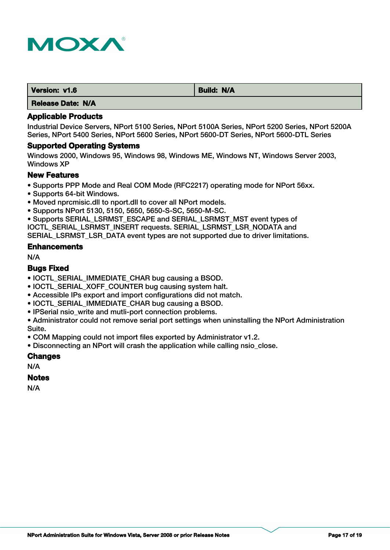

| Version: v1.6            | <b>Build: N/A</b> |
|--------------------------|-------------------|
| <b>Release Date: N/A</b> |                   |

Industrial Device Servers, NPort 5100 Series, NPort 5100A Series, NPort 5200 Series, NPort 5200A Series, NPort 5400 Series, NPort 5600 Series, NPort 5600-DT Series, NPort 5600-DTL Series

#### **Supported Operating Systems**

Windows 2000, Windows 95, Windows 98, Windows ME, Windows NT, Windows Server 2003, Windows XP

#### **New Features**

- Supports PPP Mode and Real COM Mode (RFC2217) operating mode for NPort 56xx.
- Supports 64-bit Windows.
- Moved nprcmisic.dll to nport.dll to cover all NPort models.
- Supports NPort 5130, 5150, 5650, 5650-S-SC, 5650-M-SC.

• Supports SERIAL\_LSRMST\_ESCAPE and SERIAL\_LSRMST\_MST event types of IOCTL\_SERIAL\_LSRMST\_INSERT requests. SERIAL\_LSRMST\_LSR\_NODATA and SERIAL\_LSRMST\_LSR\_DATA event types are not supported due to driver limitations.

#### **Enhancements**

N/A

#### **Bugs Fixed**

- IOCTL\_SERIAL\_IMMEDIATE\_CHAR bug causing a BSOD.
- IOCTL\_SERIAL\_XOFF\_COUNTER bug causing system halt.
- Accessible IPs export and import configurations did not match.
- IOCTL SERIAL IMMEDIATE CHAR bug causing a BSOD.
- IPSerial nsio write and mutli-port connection problems.

• Administrator could not remove serial port settings when uninstalling the NPort Administration Suite.

• COM Mapping could not import files exported by Administrator v1.2.

• Disconnecting an NPort will crash the application while calling nsio\_close.

## **Changes**

N/A

#### **Notes**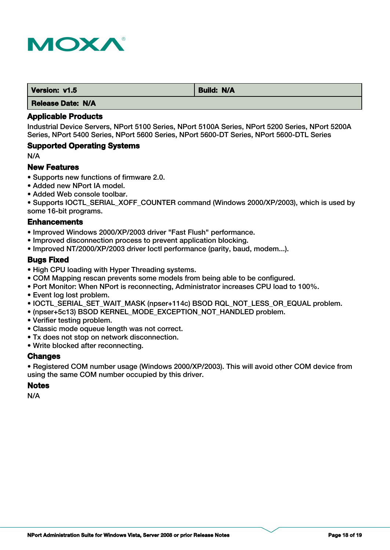

| Version: v1.5                                                                                                             | <b>Build: N/A</b> |
|---------------------------------------------------------------------------------------------------------------------------|-------------------|
| ______<br><b>STATE</b><br>the contract of the contract of the contract of the contract of the contract of the contract of |                   |

## **Applicable Products**

Industrial Device Servers, NPort 5100 Series, NPort 5100A Series, NPort 5200 Series, NPort 5200A Series, NPort 5400 Series, NPort 5600 Series, NPort 5600-DT Series, NPort 5600-DTL Series

## **Supported Operating Systems**

N/A

## **New Features**

- Supports new functions of firmware 2.0.
- Added new NPort IA model.
- Added Web console toolbar.

• Supports IOCTL\_SERIAL\_XOFF\_COUNTER command (Windows 2000/XP/2003), which is used by some 16-bit programs.

## **Enhancements**

• Improved Windows 2000/XP/2003 driver "Fast Flush" performance.

- Improved disconnection process to prevent application blocking.
- Improved NT/2000/XP/2003 driver Ioctl performance (parity, baud, modem...).

## **Bugs Fixed**

- High CPU loading with Hyper Threading systems.
- COM Mapping rescan prevents some models from being able to be configured.
- Port Monitor: When NPort is reconnecting, Administrator increases CPU load to 100%.
- Event log lost problem.
- IOCTL\_SERIAL\_SET\_WAIT\_MASK (npser+114c) BSOD RQL\_NOT\_LESS\_OR\_EQUAL problem.
- (npser+5c13) BSOD KERNEL\_MODE\_EXCEPTION\_NOT\_HANDLED problem.
- Verifier testing problem.
- Classic mode oqueue length was not correct.
- Tx does not stop on network disconnection.
- Write blocked after reconnecting.

## **Changes**

• Registered COM number usage (Windows 2000/XP/2003). This will avoid other COM device from using the same COM number occupied by this driver.

## **Notes**